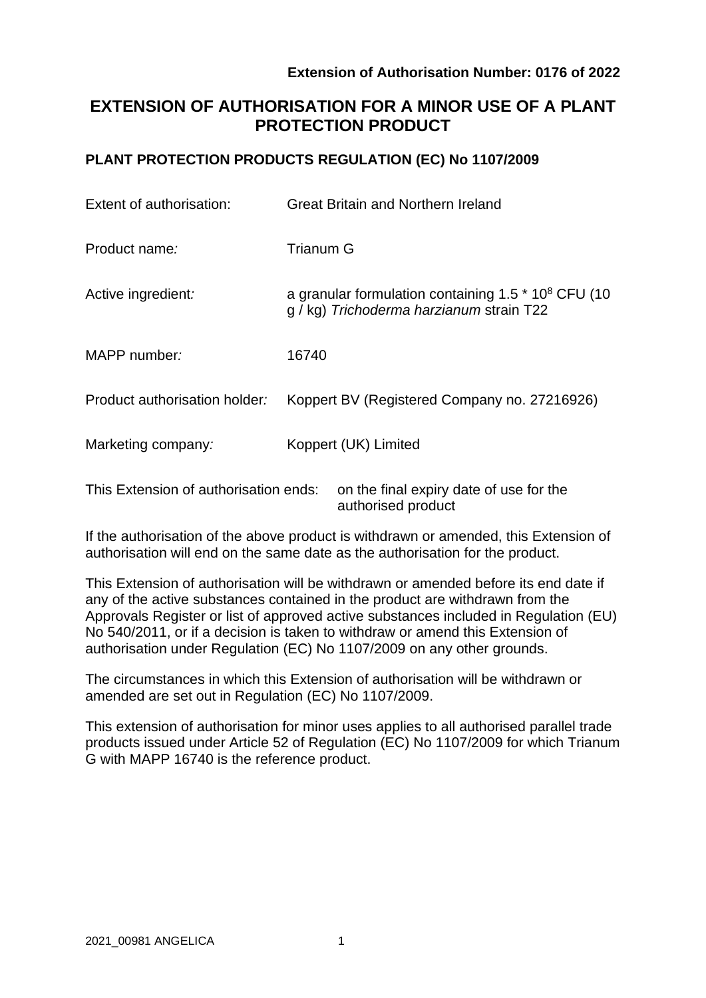# **EXTENSION OF AUTHORISATION FOR A MINOR USE OF A PLANT PROTECTION PRODUCT**

# **PLANT PROTECTION PRODUCTS REGULATION (EC) No 1107/2009**

| Extent of authorisation:              | <b>Great Britain and Northern Ireland</b>                                                         |
|---------------------------------------|---------------------------------------------------------------------------------------------------|
| Product name:                         | <b>Trianum G</b>                                                                                  |
| Active ingredient:                    | a granular formulation containing $1.5 * 108$ CFU (10<br>g / kg) Trichoderma harzianum strain T22 |
| MAPP number:                          | 16740                                                                                             |
| Product authorisation holder:         | Koppert BV (Registered Company no. 27216926)                                                      |
| Marketing company:                    | Koppert (UK) Limited                                                                              |
| This Extension of authorisation ends: | on the final expiry date of use for the                                                           |

If the authorisation of the above product is withdrawn or amended, this Extension of authorisation will end on the same date as the authorisation for the product.

authorised product

This Extension of authorisation will be withdrawn or amended before its end date if any of the active substances contained in the product are withdrawn from the Approvals Register or list of approved active substances included in Regulation (EU) No 540/2011, or if a decision is taken to withdraw or amend this Extension of authorisation under Regulation (EC) No 1107/2009 on any other grounds.

The circumstances in which this Extension of authorisation will be withdrawn or amended are set out in Regulation (EC) No 1107/2009.

This extension of authorisation for minor uses applies to all authorised parallel trade products issued under Article 52 of Regulation (EC) No 1107/2009 for which Trianum G with MAPP 16740 is the reference product.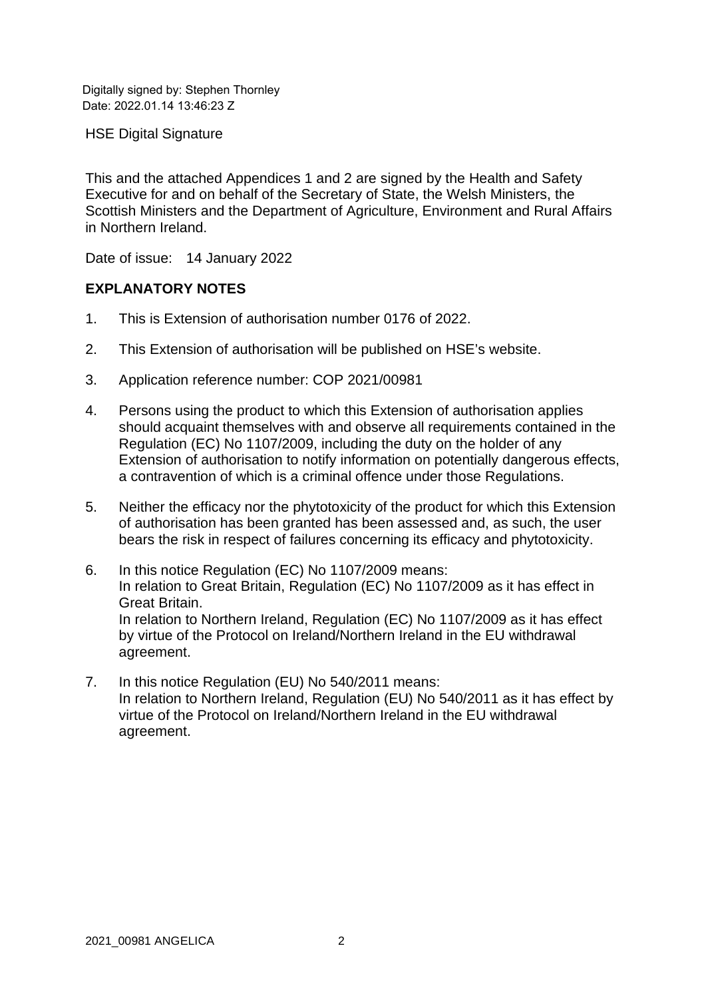Digitally signed by: Stephen Thornley Date: 2022.01.14 13:46:23 Z

HSE Digital Signature

This and the attached Appendices 1 and 2 are signed by the Health and Safety Executive for and on behalf of the Secretary of State, the Welsh Ministers, the Scottish Ministers and the Department of Agriculture, Environment and Rural Affairs in Northern Ireland.

Date of issue: 14 January 2022

### **EXPLANATORY NOTES**

- 1. This is Extension of authorisation number 0176 of 2022.
- 2. This Extension of authorisation will be published on HSE's website.
- 3. Application reference number: COP 2021/00981
- 4. Persons using the product to which this Extension of authorisation applies should acquaint themselves with and observe all requirements contained in the Regulation (EC) No 1107/2009, including the duty on the holder of any Extension of authorisation to notify information on potentially dangerous effects, a contravention of which is a criminal offence under those Regulations.
- 5. Neither the efficacy nor the phytotoxicity of the product for which this Extension of authorisation has been granted has been assessed and, as such, the user bears the risk in respect of failures concerning its efficacy and phytotoxicity.
- 6. In this notice Regulation (EC) No 1107/2009 means: In relation to Great Britain, Regulation (EC) No 1107/2009 as it has effect in Great Britain. In relation to Northern Ireland, Regulation (EC) No 1107/2009 as it has effect by virtue of the Protocol on Ireland/Northern Ireland in the EU withdrawal agreement.
- 7. In this notice Regulation (EU) No 540/2011 means: In relation to Northern Ireland, Regulation (EU) No 540/2011 as it has effect by virtue of the Protocol on Ireland/Northern Ireland in the EU withdrawal agreement.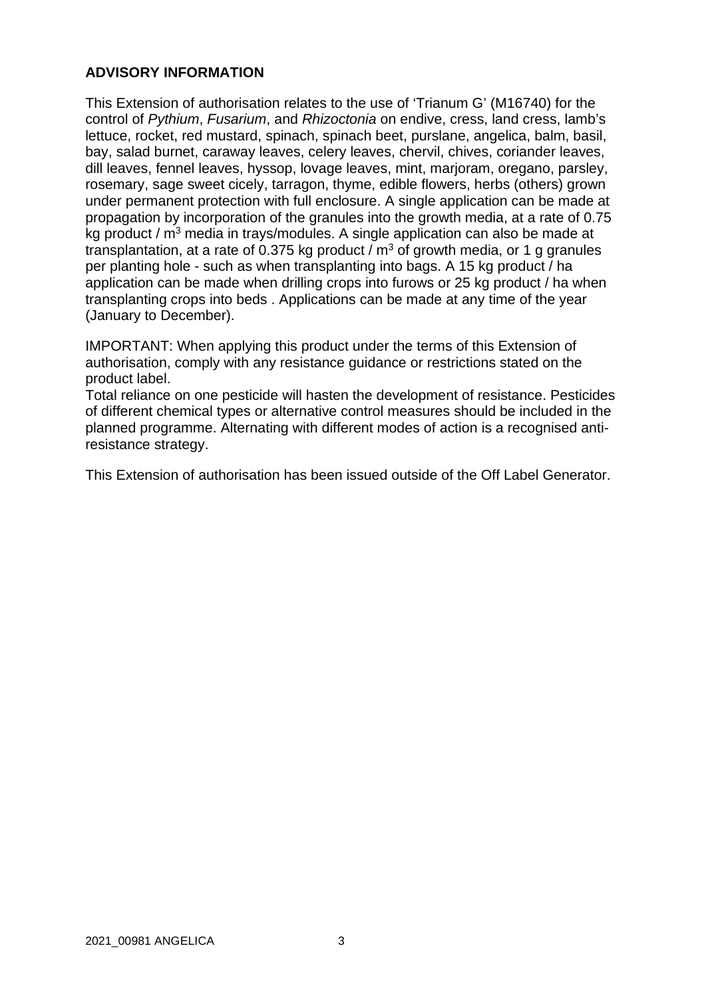### **ADVISORY INFORMATION**

This Extension of authorisation relates to the use of 'Trianum G' (M16740) for the control of *Pythium*, *Fusarium*, and *Rhizoctonia* on endive, cress, land cress, lamb's lettuce, rocket, red mustard, spinach, spinach beet, purslane, angelica, balm, basil, bay, salad burnet, caraway leaves, celery leaves, chervil, chives, coriander leaves, dill leaves, fennel leaves, hyssop, lovage leaves, mint, marjoram, oregano, parsley, rosemary, sage sweet cicely, tarragon, thyme, edible flowers, herbs (others) grown under permanent protection with full enclosure. A single application can be made at propagation by incorporation of the granules into the growth media, at a rate of 0.75 kg product / m<sup>3</sup> media in trays/modules. A single application can also be made at transplantation, at a rate of 0.375 kg product /  $m<sup>3</sup>$  of growth media, or 1 g granules per planting hole - such as when transplanting into bags. A 15 kg product / ha application can be made when drilling crops into furows or 25 kg product / ha when transplanting crops into beds . Applications can be made at any time of the year (January to December).

IMPORTANT: When applying this product under the terms of this Extension of authorisation, comply with any resistance guidance or restrictions stated on the product label.

Total reliance on one pesticide will hasten the development of resistance. Pesticides of different chemical types or alternative control measures should be included in the planned programme. Alternating with different modes of action is a recognised antiresistance strategy.

This Extension of authorisation has been issued outside of the Off Label Generator.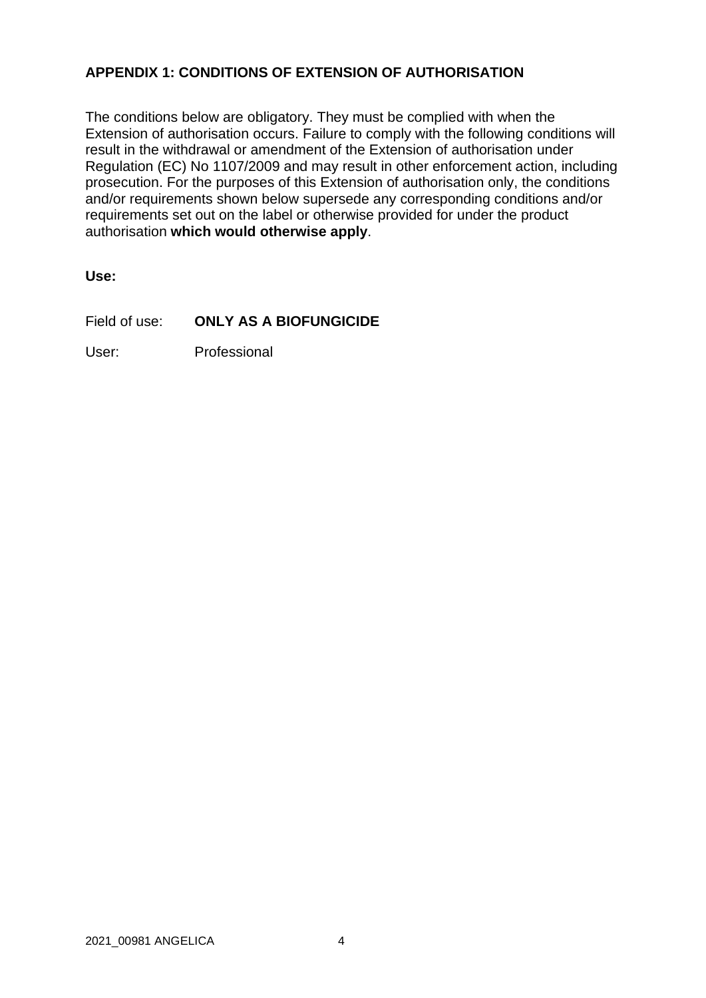# **APPENDIX 1: CONDITIONS OF EXTENSION OF AUTHORISATION**

The conditions below are obligatory. They must be complied with when the Extension of authorisation occurs. Failure to comply with the following conditions will result in the withdrawal or amendment of the Extension of authorisation under Regulation (EC) No 1107/2009 and may result in other enforcement action, including prosecution. For the purposes of this Extension of authorisation only, the conditions and/or requirements shown below supersede any corresponding conditions and/or requirements set out on the label or otherwise provided for under the product authorisation **which would otherwise apply**.

**Use:** 

Field of use: **ONLY AS A BIOFUNGICIDE**

User: Professional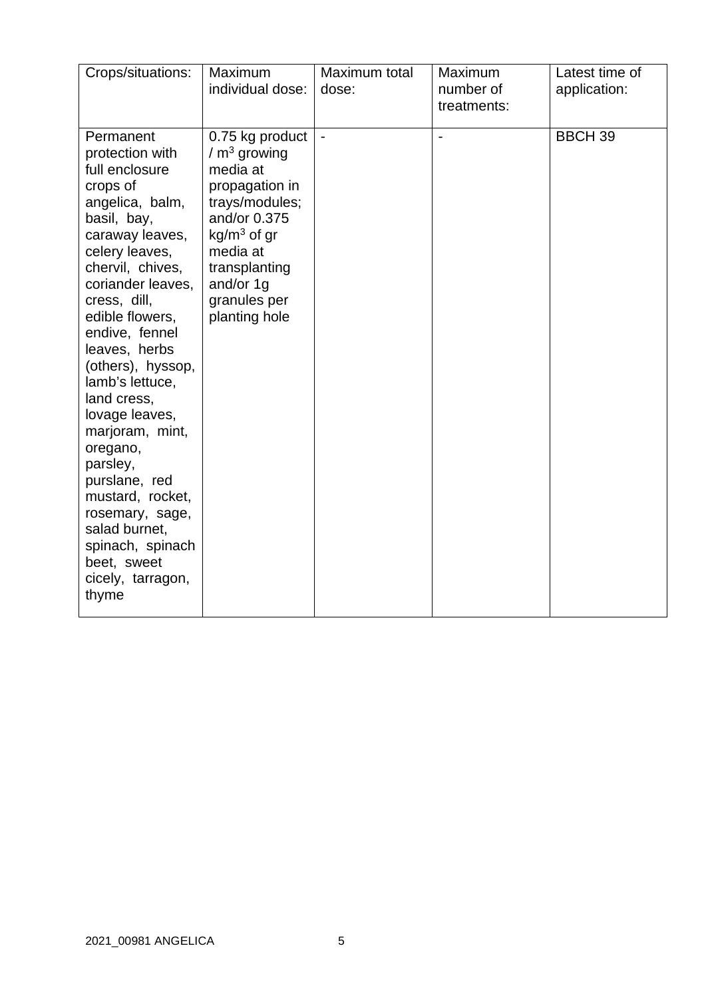| Crops/situations:                                                                                                                                                                                                                                                                                                                                                                                                                                                                                              | Maximum<br>individual dose:                                                                                                                                                                  | Maximum total<br>dose:   | Maximum<br>number of<br>treatments: | Latest time of<br>application: |
|----------------------------------------------------------------------------------------------------------------------------------------------------------------------------------------------------------------------------------------------------------------------------------------------------------------------------------------------------------------------------------------------------------------------------------------------------------------------------------------------------------------|----------------------------------------------------------------------------------------------------------------------------------------------------------------------------------------------|--------------------------|-------------------------------------|--------------------------------|
| Permanent<br>protection with<br>full enclosure<br>crops of<br>angelica, balm,<br>basil, bay,<br>caraway leaves,<br>celery leaves,<br>chervil, chives,<br>coriander leaves,<br>cress, dill,<br>edible flowers,<br>endive, fennel<br>leaves, herbs<br>(others), hyssop,<br>lamb's lettuce,<br>land cress,<br>lovage leaves,<br>marjoram, mint,<br>oregano,<br>parsley,<br>purslane, red<br>mustard, rocket,<br>rosemary, sage,<br>salad burnet,<br>spinach, spinach<br>beet, sweet<br>cicely, tarragon,<br>thyme | 0.75 kg product<br>$/m3$ growing<br>media at<br>propagation in<br>trays/modules;<br>and/or 0.375<br>$kg/m3$ of gr<br>media at<br>transplanting<br>and/or 1g<br>granules per<br>planting hole | $\overline{\phantom{a}}$ | $\overline{\phantom{a}}$            | <b>BBCH 39</b>                 |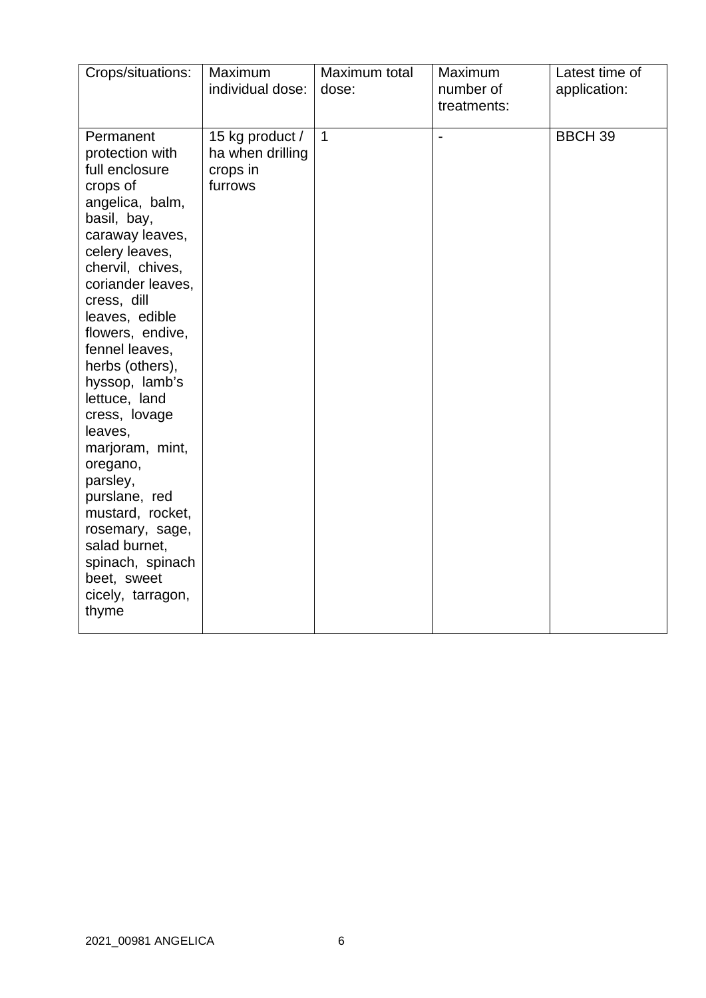| Crops/situations:                                                                                                                                                                                                                                                                                                                                                                                                                                                                                                        | <b>Maximum</b><br>individual dose:                         | Maximum total<br>dose: | Maximum<br>number of<br>treatments: | Latest time of<br>application: |
|--------------------------------------------------------------------------------------------------------------------------------------------------------------------------------------------------------------------------------------------------------------------------------------------------------------------------------------------------------------------------------------------------------------------------------------------------------------------------------------------------------------------------|------------------------------------------------------------|------------------------|-------------------------------------|--------------------------------|
| Permanent<br>protection with<br>full enclosure<br>crops of<br>angelica, balm,<br>basil, bay,<br>caraway leaves,<br>celery leaves,<br>chervil, chives,<br>coriander leaves,<br>cress, dill<br>leaves, edible<br>flowers, endive,<br>fennel leaves,<br>herbs (others),<br>hyssop, lamb's<br>lettuce, land<br>cress, lovage<br>leaves,<br>marjoram, mint,<br>oregano,<br>parsley,<br>purslane, red<br>mustard, rocket,<br>rosemary, sage,<br>salad burnet,<br>spinach, spinach<br>beet, sweet<br>cicely, tarragon,<br>thyme | 15 kg product /<br>ha when drilling<br>crops in<br>furrows | $\mathbf{1}$           |                                     | <b>BBCH 39</b>                 |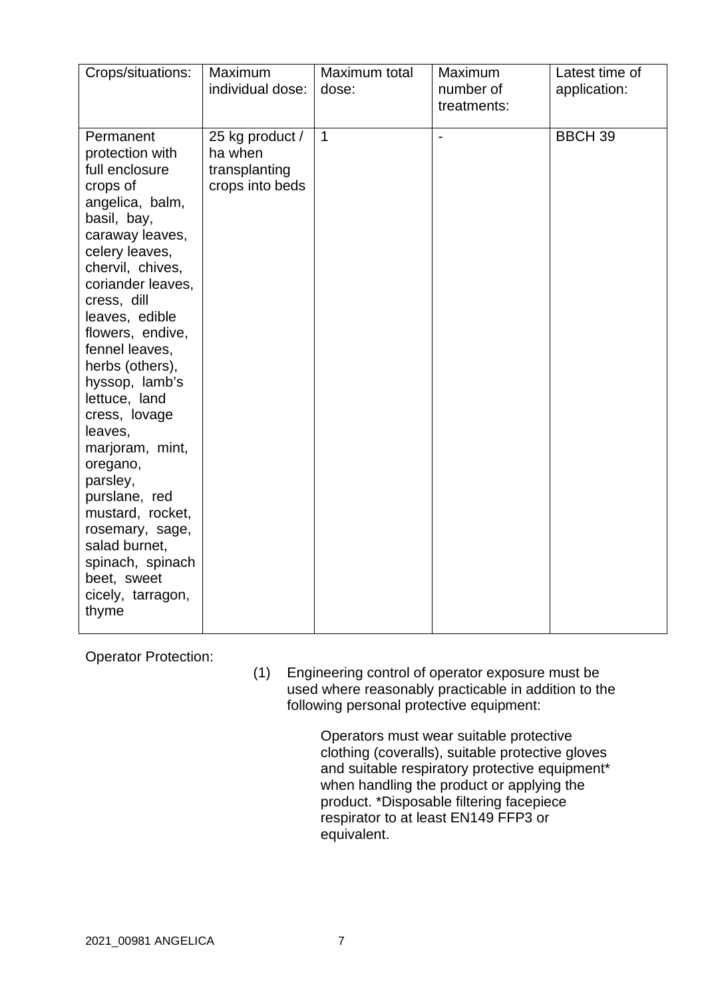| Crops/situations:                                                                                                                                                                                                                                                                                                                                                                                                                                                                                                        | Maximum                                                        | Maximum total  | Maximum                  | Latest time of |
|--------------------------------------------------------------------------------------------------------------------------------------------------------------------------------------------------------------------------------------------------------------------------------------------------------------------------------------------------------------------------------------------------------------------------------------------------------------------------------------------------------------------------|----------------------------------------------------------------|----------------|--------------------------|----------------|
|                                                                                                                                                                                                                                                                                                                                                                                                                                                                                                                          | individual dose:                                               | dose:          | number of<br>treatments: | application:   |
| Permanent<br>protection with<br>full enclosure<br>crops of<br>angelica, balm,<br>basil, bay,<br>caraway leaves,<br>celery leaves,<br>chervil, chives,<br>coriander leaves,<br>cress, dill<br>leaves, edible<br>flowers, endive,<br>fennel leaves,<br>herbs (others),<br>hyssop, lamb's<br>lettuce, land<br>cress, lovage<br>leaves,<br>marjoram, mint,<br>oregano,<br>parsley,<br>purslane, red<br>mustard, rocket,<br>rosemary, sage,<br>salad burnet,<br>spinach, spinach<br>beet, sweet<br>cicely, tarragon,<br>thyme | 25 kg product /<br>ha when<br>transplanting<br>crops into beds | $\overline{1}$ |                          | <b>BBCH 39</b> |

Operator Protection:

(1) Engineering control of operator exposure must be used where reasonably practicable in addition to the following personal protective equipment:

> Operators must wear suitable protective clothing (coveralls), suitable protective gloves and suitable respiratory protective equipment\* when handling the product or applying the product. \*Disposable filtering facepiece respirator to at least EN149 FFP3 or equivalent.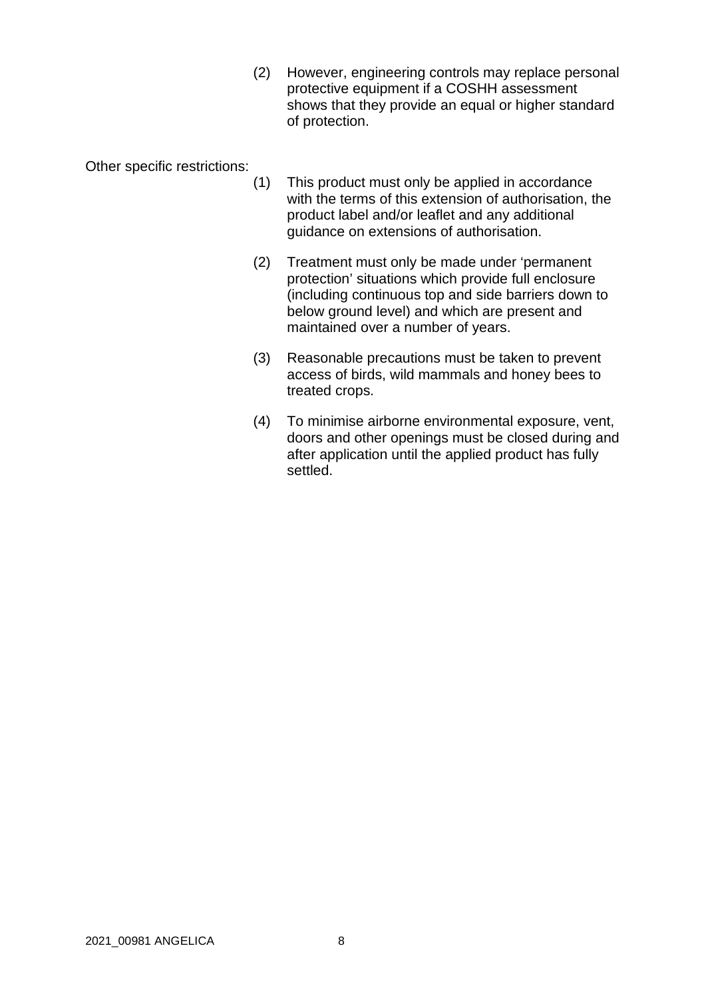(2) However, engineering controls may replace personal protective equipment if a COSHH assessment shows that they provide an equal or higher standard of protection.

Other specific restrictions:

- (1) This product must only be applied in accordance with the terms of this extension of authorisation, the product label and/or leaflet and any additional guidance on extensions of authorisation.
- (2) Treatment must only be made under 'permanent protection' situations which provide full enclosure (including continuous top and side barriers down to below ground level) and which are present and maintained over a number of years.
- (3) Reasonable precautions must be taken to prevent access of birds, wild mammals and honey bees to treated crops.
- (4) To minimise airborne environmental exposure, vent, doors and other openings must be closed during and after application until the applied product has fully settled.